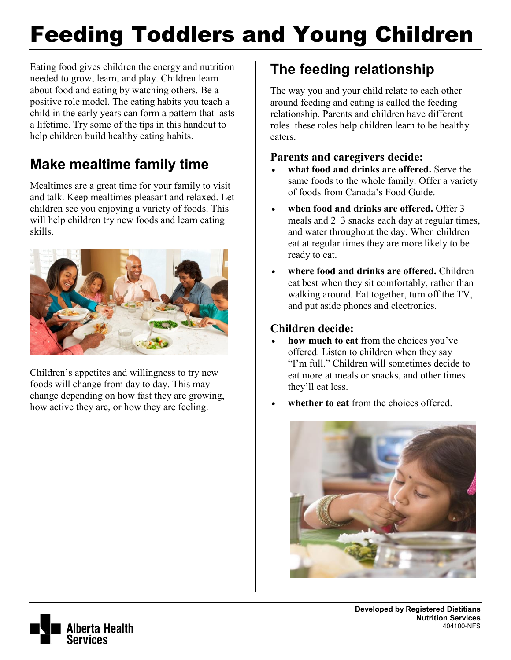# Feeding Toddlers and Young Children

Eating food gives children the energy and nutrition needed to grow, learn, and play. Children learn about food and eating by watching others. Be a positive role model. The eating habits you teach a child in the early years can form a pattern that lasts a lifetime. Try some of the tips in this handout to help children build healthy eating habits.

# **Make mealtime family time**

Mealtimes are a great time for your family to visit and talk. Keep mealtimes pleasant and relaxed. Let children see you enjoying a variety of foods. This will help children try new foods and learn eating skills.



Children's appetites and willingness to try new foods will change from day to day. This may change depending on how fast they are growing, how active they are, or how they are feeling.

# **The feeding relationship**

The way you and your child relate to each other around feeding and eating is called the feeding relationship. Parents and children have different roles–these roles help children learn to be healthy eaters.

#### **Parents and caregivers decide:**

- **what food and drinks are offered.** Serve the same foods to the whole family. Offer a variety of foods from [Canada's Food Guide.](http://www.hc-sc.gc.ca/fn-an/food-guide-aliment/index-eng.php)
- **when food and drinks are offered.** Offer 3 meals and 2–3 snacks each day at regular times, and water throughout the day. When children eat at regular times they are more likely to be ready to eat.
- **where food and drinks are offered.** Children eat best when they sit comfortably, rather than walking around. Eat together, turn off the TV, and put aside phones and electronics.

#### **Children decide:**

- **how much to eat** from the choices you've offered. Listen to children when they say "I'm full." Children will sometimes decide to eat more at meals or snacks, and other times they'll eat less.
- **whether to eat** from the choices offered.



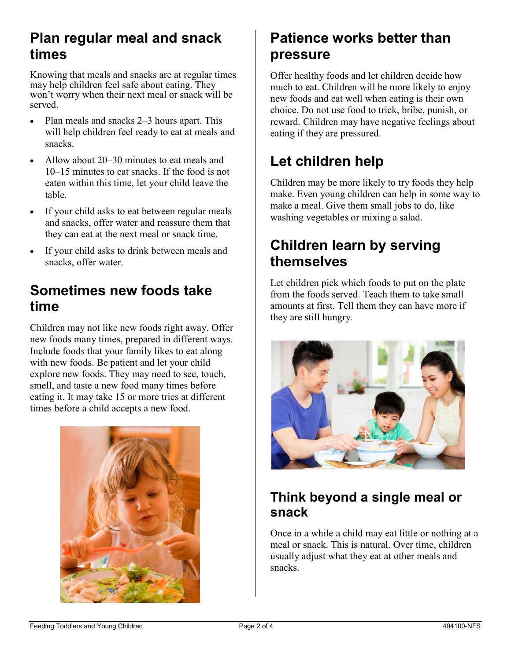## **Plan regular meal and snack times**

Knowing that meals and snacks are at regular times may help children feel safe about eating. They won't worry when their next meal or snack will be served.

- Plan meals and snacks 2–3 hours apart. This will help children feel ready to eat at meals and snacks.
- Allow about 20–30 minutes to eat meals and 10–15 minutes to eat snacks. If the food is not eaten within this time, let your child leave the table.
- If your child asks to eat between regular meals and snacks, offer water and reassure them that they can eat at the next meal or snack time.
- If your child asks to drink between meals and snacks, offer water.

## **Sometimes new foods take time**

Children may not like new foods right away. Offer new foods many times, prepared in different ways. Include foods that your family likes to eat along with new foods. Be patient and let your child explore new foods. They may need to see, touch, smell, and taste a new food many times before eating it. It may take 15 or more tries at different times before a child accepts a new food.



## **Patience works better than pressure**

Offer healthy foods and let children decide how much to eat. Children will be more likely to enjoy new foods and eat well when eating is their own choice. Do not use food to trick, bribe, punish, or reward. Children may have negative feelings about eating if they are pressured.

## **Let children help**

Children may be more likely to try foods they help make. Even young children can help in some way to make a meal. Give them small jobs to do, like washing vegetables or mixing a salad.

## **Children learn by serving themselves**

Let children pick which foods to put on the plate from the foods served. Teach them to take small amounts at first. Tell them they can have more if they are still hungry.



## **Think beyond a single meal or snack**

Once in a while a child may eat little or nothing at a meal or snack. This is natural. Over time, children usually adjust what they eat at other meals and snacks.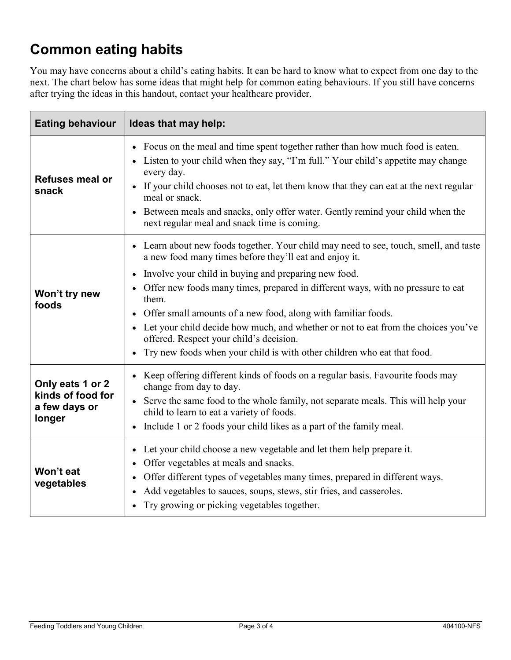## **Common eating habits**

You may have concerns about a child's eating habits. It can be hard to know what to expect from one day to the next. The chart below has some ideas that might help for common eating behaviours. If you still have concerns after trying the ideas in this handout, contact your healthcare provider.

| <b>Eating behaviour</b>                                          | Ideas that may help:                                                                                                                                                                                                                                                                                                                                                                                                                                                                                                                                                                         |
|------------------------------------------------------------------|----------------------------------------------------------------------------------------------------------------------------------------------------------------------------------------------------------------------------------------------------------------------------------------------------------------------------------------------------------------------------------------------------------------------------------------------------------------------------------------------------------------------------------------------------------------------------------------------|
| <b>Refuses meal or</b><br>snack                                  | • Focus on the meal and time spent together rather than how much food is eaten.<br>Listen to your child when they say, "I'm full." Your child's appetite may change<br>every day.<br>• If your child chooses not to eat, let them know that they can eat at the next regular<br>meal or snack.<br>• Between meals and snacks, only offer water. Gently remind your child when the<br>next regular meal and snack time is coming.                                                                                                                                                             |
| Won't try new<br>foods                                           | • Learn about new foods together. Your child may need to see, touch, smell, and taste<br>a new food many times before they'll eat and enjoy it.<br>Involve your child in buying and preparing new food.<br>Offer new foods many times, prepared in different ways, with no pressure to eat<br>them.<br>Offer small amounts of a new food, along with familiar foods.<br>Let your child decide how much, and whether or not to eat from the choices you've<br>offered. Respect your child's decision.<br>Try new foods when your child is with other children who eat that food.<br>$\bullet$ |
| Only eats 1 or 2<br>kinds of food for<br>a few days or<br>longer | Keep offering different kinds of foods on a regular basis. Favourite foods may<br>change from day to day.<br>Serve the same food to the whole family, not separate meals. This will help your<br>child to learn to eat a variety of foods.<br>Include 1 or 2 foods your child likes as a part of the family meal.                                                                                                                                                                                                                                                                            |
| Won't eat<br>vegetables                                          | Let your child choose a new vegetable and let them help prepare it.<br>Offer vegetables at meals and snacks.<br>Offer different types of vegetables many times, prepared in different ways.<br>Add vegetables to sauces, soups, stews, stir fries, and casseroles.<br>Try growing or picking vegetables together.                                                                                                                                                                                                                                                                            |